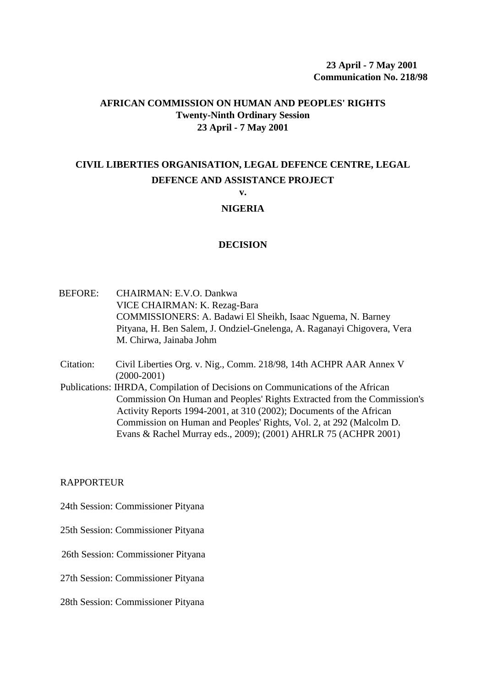## **AFRICAN COMMISSION ON HUMAN AND PEOPLES' RIGHTS Twenty-Ninth Ordinary Session 23 April - 7 May 2001**

# **CIVIL LIBERTIES ORGANISATION, LEGAL DEFENCE CENTRE, LEGAL DEFENCE AND ASSISTANCE PROJECT**

**v.**

### **NIGERIA**

### **DECISION**

- BEFORE: CHAIRMAN: E.V.O. Dankwa VICE CHAIRMAN: K. Rezag-Bara COMMISSIONERS: A. Badawi El Sheikh, Isaac Nguema, N. Barney Pityana, H. Ben Salem, J. Ondziel-Gnelenga, A. Raganayi Chigovera, Vera M. Chirwa, Jainaba Johm
- Citation: Civil Liberties Org. v. Nig., Comm. 218/98, 14th ACHPR AAR Annex V (2000-2001)
- Publications: IHRDA, Compilation of Decisions on Communications of the African Commission On Human and Peoples' Rights Extracted from the Commission's Activity Reports 1994-2001, at 310 (2002); Documents of the African Commission on Human and Peoples' Rights, Vol. 2, at 292 (Malcolm D. Evans & Rachel Murray eds., 2009); (2001) AHRLR 75 (ACHPR 2001)

#### RAPPORTEUR

- 24th Session: Commissioner Pityana
- 25th Session: Commissioner Pityana
- 26th Session: Commissioner Pityana
- 27th Session: Commissioner Pityana
- 28th Session: Commissioner Pityana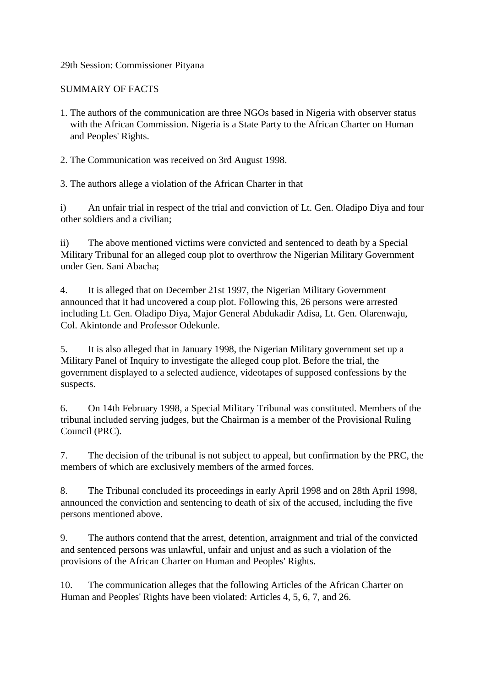29th Session: Commissioner Pityana

SUMMARY OF FACTS

1. The authors of the communication are three NGOs based in Nigeria with observer status with the African Commission. Nigeria is a State Party to the African Charter on Human and Peoples' Rights.

2. The Communication was received on 3rd August 1998.

3. The authors allege a violation of the African Charter in that

i) An unfair trial in respect of the trial and conviction of Lt. Gen. Oladipo Diya and four other soldiers and a civilian;

ii) The above mentioned victims were convicted and sentenced to death by a Special Military Tribunal for an alleged coup plot to overthrow the Nigerian Military Government under Gen. Sani Abacha;

4. It is alleged that on December 21st 1997, the Nigerian Military Government announced that it had uncovered a coup plot. Following this, 26 persons were arrested including Lt. Gen. Oladipo Diya, Major General Abdukadir Adisa, Lt. Gen. Olarenwaju, Col. Akintonde and Professor Odekunle.

5. It is also alleged that in January 1998, the Nigerian Military government set up a Military Panel of Inquiry to investigate the alleged coup plot. Before the trial, the government displayed to a selected audience, videotapes of supposed confessions by the suspects.

6. On 14th February 1998, a Special Military Tribunal was constituted. Members of the tribunal included serving judges, but the Chairman is a member of the Provisional Ruling Council (PRC).

7. The decision of the tribunal is not subject to appeal, but confirmation by the PRC, the members of which are exclusively members of the armed forces.

8. The Tribunal concluded its proceedings in early April 1998 and on 28th April 1998, announced the conviction and sentencing to death of six of the accused, including the five persons mentioned above.

9. The authors contend that the arrest, detention, arraignment and trial of the convicted and sentenced persons was unlawful, unfair and unjust and as such a violation of the provisions of the African Charter on Human and Peoples' Rights.

10. The communication alleges that the following Articles of the African Charter on Human and Peoples' Rights have been violated: Articles 4, 5, 6, 7, and 26.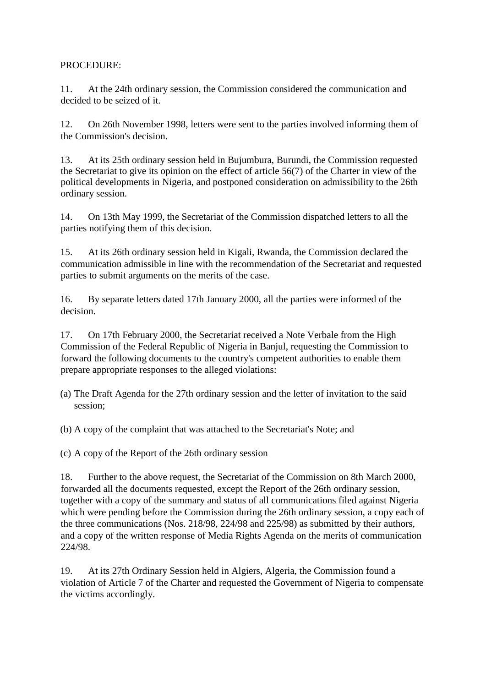### PROCEDURE:

11. At the 24th ordinary session, the Commission considered the communication and decided to be seized of it.

12. On 26th November 1998, letters were sent to the parties involved informing them of the Commission's decision.

13. At its 25th ordinary session held in Bujumbura, Burundi, the Commission requested the Secretariat to give its opinion on the effect of article 56(7) of the Charter in view of the political developments in Nigeria, and postponed consideration on admissibility to the 26th ordinary session.

14. On 13th May 1999, the Secretariat of the Commission dispatched letters to all the parties notifying them of this decision.

15. At its 26th ordinary session held in Kigali, Rwanda, the Commission declared the communication admissible in line with the recommendation of the Secretariat and requested parties to submit arguments on the merits of the case.

16. By separate letters dated 17th January 2000, all the parties were informed of the decision.

17. On 17th February 2000, the Secretariat received a Note Verbale from the High Commission of the Federal Republic of Nigeria in Banjul, requesting the Commission to forward the following documents to the country's competent authorities to enable them prepare appropriate responses to the alleged violations:

- (a) The Draft Agenda for the 27th ordinary session and the letter of invitation to the said session;
- (b) A copy of the complaint that was attached to the Secretariat's Note; and

(c) A copy of the Report of the 26th ordinary session

18. Further to the above request, the Secretariat of the Commission on 8th March 2000, forwarded all the documents requested, except the Report of the 26th ordinary session, together with a copy of the summary and status of all communications filed against Nigeria which were pending before the Commission during the 26th ordinary session, a copy each of the three communications (Nos. 218/98, 224/98 and 225/98) as submitted by their authors, and a copy of the written response of Media Rights Agenda on the merits of communication 224/98.

19. At its 27th Ordinary Session held in Algiers, Algeria, the Commission found a violation of Article 7 of the Charter and requested the Government of Nigeria to compensate the victims accordingly.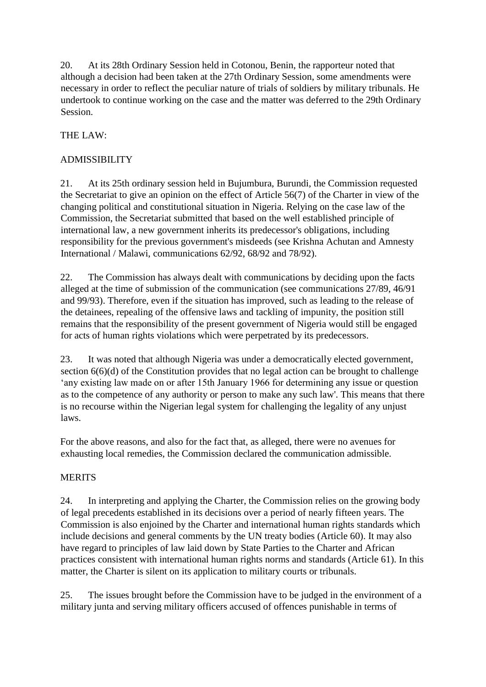20. At its 28th Ordinary Session held in Cotonou, Benin, the rapporteur noted that although a decision had been taken at the 27th Ordinary Session, some amendments were necessary in order to reflect the peculiar nature of trials of soldiers by military tribunals. He undertook to continue working on the case and the matter was deferred to the 29th Ordinary Session.

THE LAW:

## ADMISSIBILITY

21. At its 25th ordinary session held in Bujumbura, Burundi, the Commission requested the Secretariat to give an opinion on the effect of Article 56(7) of the Charter in view of the changing political and constitutional situation in Nigeria. Relying on the case law of the Commission, the Secretariat submitted that based on the well established principle of international law, a new government inherits its predecessor's obligations, including responsibility for the previous government's misdeeds (see Krishna Achutan and Amnesty International / Malawi, communications 62/92, 68/92 and 78/92).

22. The Commission has always dealt with communications by deciding upon the facts alleged at the time of submission of the communication (see communications 27/89, 46/91 and 99/93). Therefore, even if the situation has improved, such as leading to the release of the detainees, repealing of the offensive laws and tackling of impunity, the position still remains that the responsibility of the present government of Nigeria would still be engaged for acts of human rights violations which were perpetrated by its predecessors.

23. It was noted that although Nigeria was under a democratically elected government, section 6(6)(d) of the Constitution provides that no legal action can be brought to challenge 'any existing law made on or after 15th January 1966 for determining any issue or question as to the competence of any authority or person to make any such law'. This means that there is no recourse within the Nigerian legal system for challenging the legality of any unjust laws.

For the above reasons, and also for the fact that, as alleged, there were no avenues for exhausting local remedies, the Commission declared the communication admissible.

## **MERITS**

24. In interpreting and applying the Charter, the Commission relies on the growing body of legal precedents established in its decisions over a period of nearly fifteen years. The Commission is also enjoined by the Charter and international human rights standards which include decisions and general comments by the UN treaty bodies (Article 60). It may also have regard to principles of law laid down by State Parties to the Charter and African practices consistent with international human rights norms and standards (Article 61). In this matter, the Charter is silent on its application to military courts or tribunals.

25. The issues brought before the Commission have to be judged in the environment of a military junta and serving military officers accused of offences punishable in terms of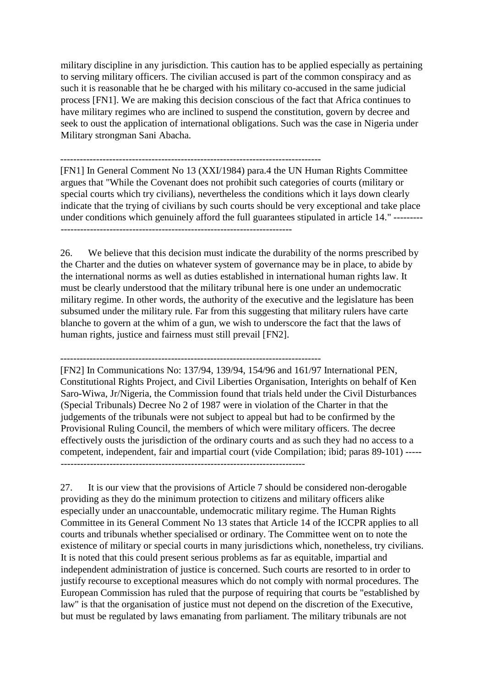military discipline in any jurisdiction. This caution has to be applied especially as pertaining to serving military officers. The civilian accused is part of the common conspiracy and as such it is reasonable that he be charged with his military co-accused in the same judicial process [FN1]. We are making this decision conscious of the fact that Africa continues to have military regimes who are inclined to suspend the constitution, govern by decree and seek to oust the application of international obligations. Such was the case in Nigeria under Military strongman Sani Abacha.

#### --------------------------------------------------------------------------------

[FN1] In General Comment No 13 (XXI/1984) para.4 the UN Human Rights Committee argues that "While the Covenant does not prohibit such categories of courts (military or special courts which try civilians), nevertheless the conditions which it lays down clearly indicate that the trying of civilians by such courts should be very exceptional and take place under conditions which genuinely afford the full guarantees stipulated in article 14." ---------

26. We believe that this decision must indicate the durability of the norms prescribed by the Charter and the duties on whatever system of governance may be in place, to abide by the international norms as well as duties established in international human rights law. It must be clearly understood that the military tribunal here is one under an undemocratic military regime. In other words, the authority of the executive and the legislature has been subsumed under the military rule. Far from this suggesting that military rulers have carte blanche to govern at the whim of a gun, we wish to underscore the fact that the laws of human rights, justice and fairness must still prevail [FN2].

### --------------------------------------------------------------------------------

[FN2] In Communications No: 137/94, 139/94, 154/96 and 161/97 International PEN, Constitutional Rights Project, and Civil Liberties Organisation, Interights on behalf of Ken Saro-Wiwa, Jr/Nigeria, the Commission found that trials held under the Civil Disturbances (Special Tribunals) Decree No 2 of 1987 were in violation of the Charter in that the judgements of the tribunals were not subject to appeal but had to be confirmed by the Provisional Ruling Council, the members of which were military officers. The decree effectively ousts the jurisdiction of the ordinary courts and as such they had no access to a competent, independent, fair and impartial court (vide Compilation; ibid; paras 89-101) ----- ---------------------------------------------------------------------------

27. It is our view that the provisions of Article 7 should be considered non-derogable providing as they do the minimum protection to citizens and military officers alike especially under an unaccountable, undemocratic military regime. The Human Rights Committee in its General Comment No 13 states that Article 14 of the ICCPR applies to all courts and tribunals whether specialised or ordinary. The Committee went on to note the existence of military or special courts in many jurisdictions which, nonetheless, try civilians. It is noted that this could present serious problems as far as equitable, impartial and independent administration of justice is concerned. Such courts are resorted to in order to justify recourse to exceptional measures which do not comply with normal procedures. The European Commission has ruled that the purpose of requiring that courts be "established by law" is that the organisation of justice must not depend on the discretion of the Executive, but must be regulated by laws emanating from parliament. The military tribunals are not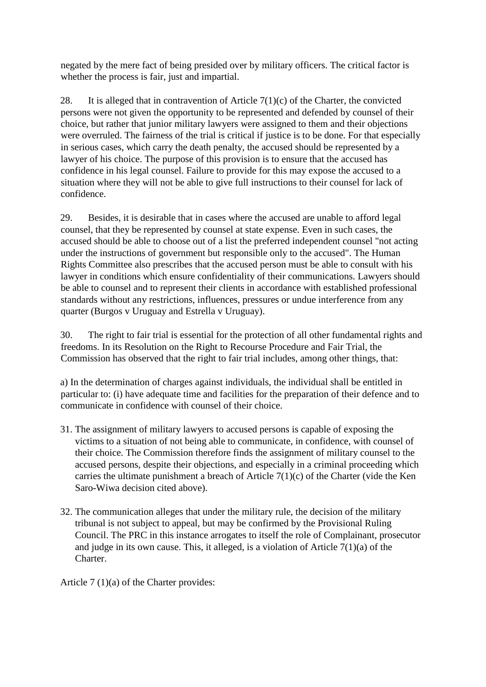negated by the mere fact of being presided over by military officers. The critical factor is whether the process is fair, just and impartial.

28. It is alleged that in contravention of Article  $7(1)(c)$  of the Charter, the convicted persons were not given the opportunity to be represented and defended by counsel of their choice, but rather that junior military lawyers were assigned to them and their objections were overruled. The fairness of the trial is critical if justice is to be done. For that especially in serious cases, which carry the death penalty, the accused should be represented by a lawyer of his choice. The purpose of this provision is to ensure that the accused has confidence in his legal counsel. Failure to provide for this may expose the accused to a situation where they will not be able to give full instructions to their counsel for lack of confidence.

29. Besides, it is desirable that in cases where the accused are unable to afford legal counsel, that they be represented by counsel at state expense. Even in such cases, the accused should be able to choose out of a list the preferred independent counsel "not acting under the instructions of government but responsible only to the accused". The Human Rights Committee also prescribes that the accused person must be able to consult with his lawyer in conditions which ensure confidentiality of their communications. Lawyers should be able to counsel and to represent their clients in accordance with established professional standards without any restrictions, influences, pressures or undue interference from any quarter (Burgos v Uruguay and Estrella v Uruguay).

30. The right to fair trial is essential for the protection of all other fundamental rights and freedoms. In its Resolution on the Right to Recourse Procedure and Fair Trial, the Commission has observed that the right to fair trial includes, among other things, that:

a) In the determination of charges against individuals, the individual shall be entitled in particular to: (i) have adequate time and facilities for the preparation of their defence and to communicate in confidence with counsel of their choice.

- 31. The assignment of military lawyers to accused persons is capable of exposing the victims to a situation of not being able to communicate, in confidence, with counsel of their choice. The Commission therefore finds the assignment of military counsel to the accused persons, despite their objections, and especially in a criminal proceeding which carries the ultimate punishment a breach of Article 7(1)(c) of the Charter (vide the Ken Saro-Wiwa decision cited above).
- 32. The communication alleges that under the military rule, the decision of the military tribunal is not subject to appeal, but may be confirmed by the Provisional Ruling Council. The PRC in this instance arrogates to itself the role of Complainant, prosecutor and judge in its own cause. This, it alleged, is a violation of Article  $7(1)(a)$  of the Charter.

Article 7 (1)(a) of the Charter provides: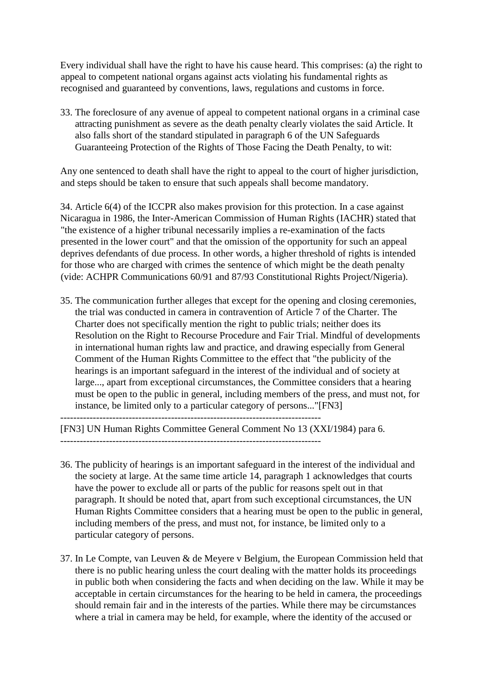Every individual shall have the right to have his cause heard. This comprises: (a) the right to appeal to competent national organs against acts violating his fundamental rights as recognised and guaranteed by conventions, laws, regulations and customs in force.

33. The foreclosure of any avenue of appeal to competent national organs in a criminal case attracting punishment as severe as the death penalty clearly violates the said Article. It also falls short of the standard stipulated in paragraph 6 of the UN Safeguards Guaranteeing Protection of the Rights of Those Facing the Death Penalty, to wit:

Any one sentenced to death shall have the right to appeal to the court of higher jurisdiction, and steps should be taken to ensure that such appeals shall become mandatory.

34. Article 6(4) of the ICCPR also makes provision for this protection. In a case against Nicaragua in 1986, the Inter-American Commission of Human Rights (IACHR) stated that "the existence of a higher tribunal necessarily implies a re-examination of the facts presented in the lower court" and that the omission of the opportunity for such an appeal deprives defendants of due process. In other words, a higher threshold of rights is intended for those who are charged with crimes the sentence of which might be the death penalty (vide: ACHPR Communications 60/91 and 87/93 Constitutional Rights Project/Nigeria).

35. The communication further alleges that except for the opening and closing ceremonies, the trial was conducted in camera in contravention of Article 7 of the Charter. The Charter does not specifically mention the right to public trials; neither does its Resolution on the Right to Recourse Procedure and Fair Trial. Mindful of developments in international human rights law and practice, and drawing especially from General Comment of the Human Rights Committee to the effect that "the publicity of the hearings is an important safeguard in the interest of the individual and of society at large..., apart from exceptional circumstances, the Committee considers that a hearing must be open to the public in general, including members of the press, and must not, for instance, be limited only to a particular category of persons..."[FN3]

-------------------------------------------------------------------------------- [FN3] UN Human Rights Committee General Comment No 13 (XXI/1984) para 6. --------------------------------------------------------------------------------

- 36. The publicity of hearings is an important safeguard in the interest of the individual and the society at large. At the same time article 14, paragraph 1 acknowledges that courts have the power to exclude all or parts of the public for reasons spelt out in that paragraph. It should be noted that, apart from such exceptional circumstances, the UN Human Rights Committee considers that a hearing must be open to the public in general, including members of the press, and must not, for instance, be limited only to a particular category of persons.
- 37. In Le Compte, van Leuven & de Meyere v Belgium, the European Commission held that there is no public hearing unless the court dealing with the matter holds its proceedings in public both when considering the facts and when deciding on the law. While it may be acceptable in certain circumstances for the hearing to be held in camera, the proceedings should remain fair and in the interests of the parties. While there may be circumstances where a trial in camera may be held, for example, where the identity of the accused or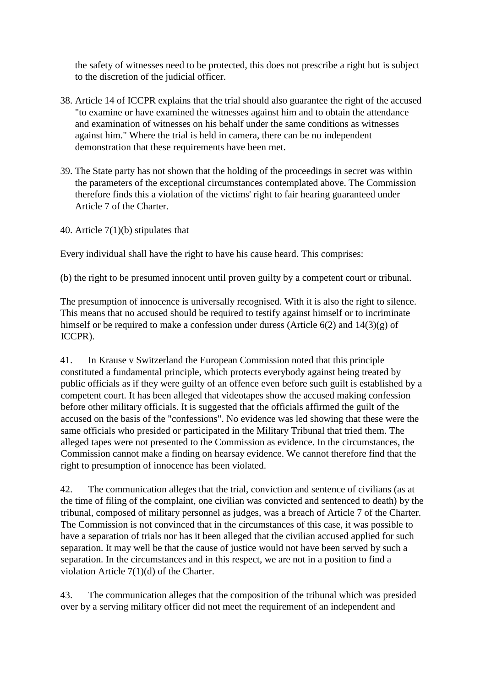the safety of witnesses need to be protected, this does not prescribe a right but is subject to the discretion of the judicial officer.

- 38. Article 14 of ICCPR explains that the trial should also guarantee the right of the accused "to examine or have examined the witnesses against him and to obtain the attendance and examination of witnesses on his behalf under the same conditions as witnesses against him." Where the trial is held in camera, there can be no independent demonstration that these requirements have been met.
- 39. The State party has not shown that the holding of the proceedings in secret was within the parameters of the exceptional circumstances contemplated above. The Commission therefore finds this a violation of the victims' right to fair hearing guaranteed under Article 7 of the Charter.
- 40. Article 7(1)(b) stipulates that

Every individual shall have the right to have his cause heard. This comprises:

(b) the right to be presumed innocent until proven guilty by a competent court or tribunal.

The presumption of innocence is universally recognised. With it is also the right to silence. This means that no accused should be required to testify against himself or to incriminate himself or be required to make a confession under duress (Article  $6(2)$  and  $14(3)(g)$  of ICCPR).

41. In Krause v Switzerland the European Commission noted that this principle constituted a fundamental principle, which protects everybody against being treated by public officials as if they were guilty of an offence even before such guilt is established by a competent court. It has been alleged that videotapes show the accused making confession before other military officials. It is suggested that the officials affirmed the guilt of the accused on the basis of the "confessions". No evidence was led showing that these were the same officials who presided or participated in the Military Tribunal that tried them. The alleged tapes were not presented to the Commission as evidence. In the circumstances, the Commission cannot make a finding on hearsay evidence. We cannot therefore find that the right to presumption of innocence has been violated.

42. The communication alleges that the trial, conviction and sentence of civilians (as at the time of filing of the complaint, one civilian was convicted and sentenced to death) by the tribunal, composed of military personnel as judges, was a breach of Article 7 of the Charter. The Commission is not convinced that in the circumstances of this case, it was possible to have a separation of trials nor has it been alleged that the civilian accused applied for such separation. It may well be that the cause of justice would not have been served by such a separation. In the circumstances and in this respect, we are not in a position to find a violation Article 7(1)(d) of the Charter.

43. The communication alleges that the composition of the tribunal which was presided over by a serving military officer did not meet the requirement of an independent and